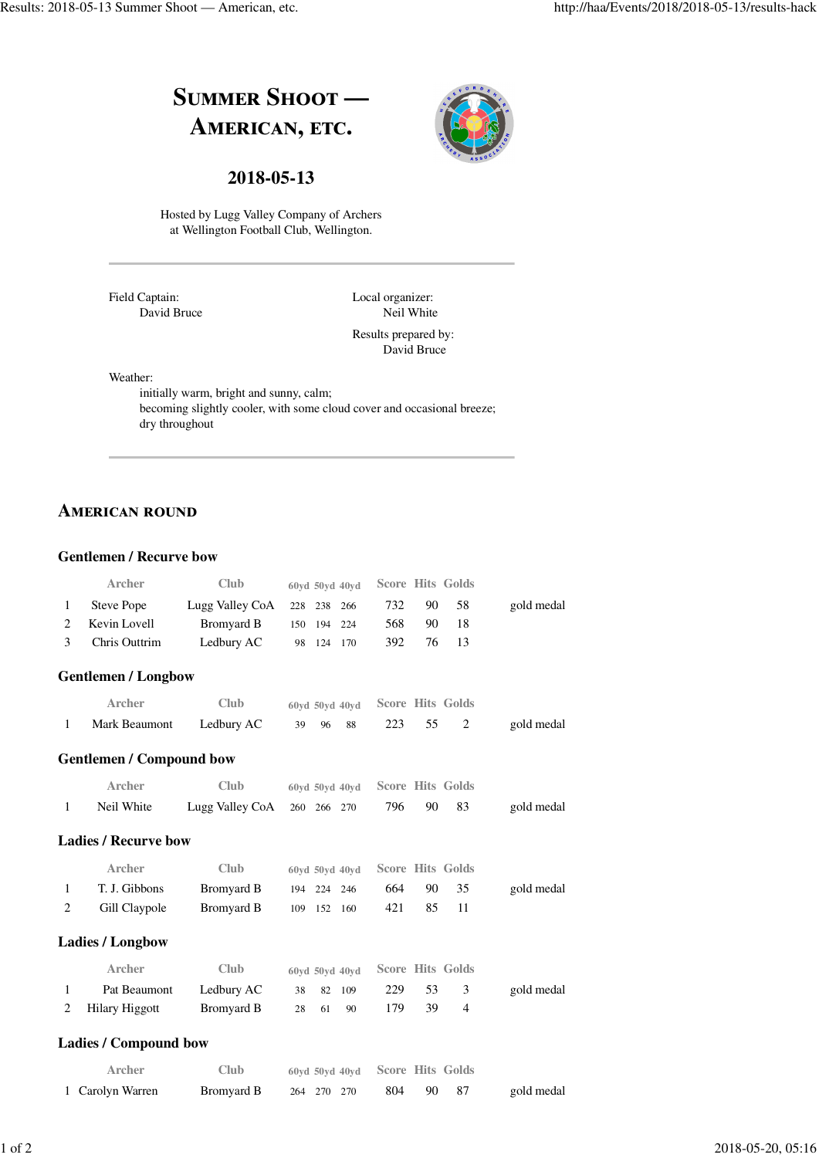



## **2018-05-13**

Hosted by Lugg Valley Company of Archers at Wellington Football Club, Wellington.

Field Captain: David Bruce Local organizer: Neil White

Results prepared by: David Bruce

Weather:

initially warm, bright and sunny, calm; becoming slightly cooler, with some cloud cover and occasional breeze; dry throughout

# **AMERICAN ROUND**

#### **Gentlemen / Recurve bow**

|              | <b>Archer</b>   | <b>Club</b>                   | 60yd 50yd 40yd Score Hits Golds |     |             |            |
|--------------|-----------------|-------------------------------|---------------------------------|-----|-------------|------------|
| $\mathbf{1}$ | Steve Pope      | Lugg Valley $CoA$ 228 238 266 |                                 | 732 | 90 58       | gold medal |
|              | 2 Kevin Lovell  | Bromyard B                    | 150 194 224                     | 568 | 90.<br>- 18 |            |
|              | 3 Chris Outtrim | Ledbury AC                    | 98 124 170                      | 392 | 76 13       |            |

#### **Gentlemen / Longbow**

| Archer                   | <b>Club</b> |          | 60yd 50yd 40yd Score Hits Golds |            |
|--------------------------|-------------|----------|---------------------------------|------------|
| Mark Beaumont Ledbury AC |             | 39 96 88 | 223 55                          | gold medal |

### **Gentlemen / Compound bow**

| Archer     | Club                        | 60yd 50yd 40yd Score Hits Golds |     |       |            |
|------------|-----------------------------|---------------------------------|-----|-------|------------|
| Neil White | Lugg Valley CoA 260 266 270 |                                 | 796 | 90 83 | gold medal |

#### **Ladies / Recurve bow**

|              | Archer        | Club       | 60yd 50yd 40yd Score Hits Golds |     |     |       |            |
|--------------|---------------|------------|---------------------------------|-----|-----|-------|------------|
| $\mathbf{1}$ | T. J. Gibbons | Bromvard B | 194 224 246                     | 664 |     | 90 35 | gold medal |
|              | Gill Claypole | Bromyard B | 109 152 160                     | 421 | 85. |       |            |

#### **Ladies / Longbow**

| Archer                  | Club       | $60yd$ 50yd 40yd Score Hits Golds |          |  |            |
|-------------------------|------------|-----------------------------------|----------|--|------------|
| Pat Beaumont Ledbury AC |            | 38 82 109                         | 229 53 3 |  | gold medal |
| 2 Hilary Higgott        | Bromyard B | 28 61 90                          | 179 39   |  |            |

#### **Ladies / Compound bow**

| Archer           | <b>Club</b> | $60yd$ 50vd 40vd Score Hits Golds |     |       |            |
|------------------|-------------|-----------------------------------|-----|-------|------------|
| 1 Carolyn Warren | Bromyard B  | 264 270 270                       | 804 | 90 87 | gold medal |